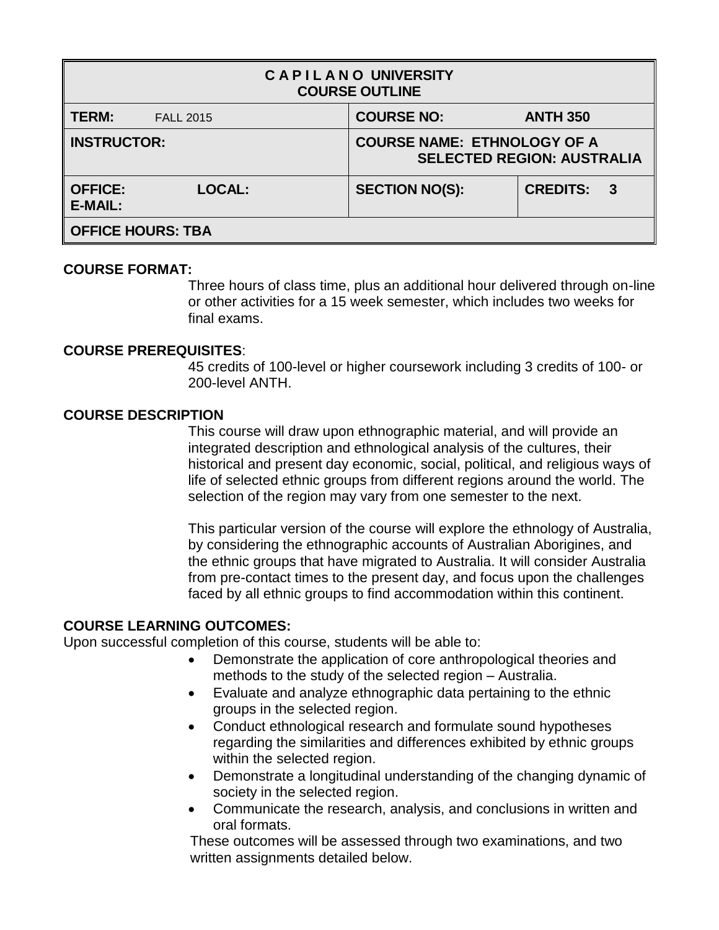| <b>CAPILANO UNIVERSITY</b><br><b>COURSE OUTLINE</b> |                  |                       |                                                                         |  |  |  |
|-----------------------------------------------------|------------------|-----------------------|-------------------------------------------------------------------------|--|--|--|
| TERM:                                               | <b>FALL 2015</b> | <b>COURSE NO:</b>     | <b>ANTH 350</b>                                                         |  |  |  |
| <b>INSTRUCTOR:</b>                                  |                  |                       | <b>COURSE NAME: ETHNOLOGY OF A</b><br><b>SELECTED REGION: AUSTRALIA</b> |  |  |  |
| <b>OFFICE:</b><br><b>E-MAIL:</b>                    | <b>LOCAL:</b>    | <b>SECTION NO(S):</b> | <b>CREDITS: 3</b>                                                       |  |  |  |
| <b>OFFICE HOURS: TBA</b>                            |                  |                       |                                                                         |  |  |  |

# **COURSE FORMAT:**

Three hours of class time, plus an additional hour delivered through on-line or other activities for a 15 week semester, which includes two weeks for final exams.

# **COURSE PREREQUISITES**:

45 credits of 100-level or higher coursework including 3 credits of 100- or 200-level ANTH.

# **COURSE DESCRIPTION**

This course will draw upon ethnographic material, and will provide an integrated description and ethnological analysis of the cultures, their historical and present day economic, social, political, and religious ways of life of selected ethnic groups from different regions around the world. The selection of the region may vary from one semester to the next.

This particular version of the course will explore the ethnology of Australia, by considering the ethnographic accounts of Australian Aborigines, and the ethnic groups that have migrated to Australia. It will consider Australia from pre-contact times to the present day, and focus upon the challenges faced by all ethnic groups to find accommodation within this continent.

# **COURSE LEARNING OUTCOMES:**

Upon successful completion of this course, students will be able to:

- Demonstrate the application of core anthropological theories and methods to the study of the selected region – Australia.
- Evaluate and analyze ethnographic data pertaining to the ethnic groups in the selected region.
- Conduct ethnological research and formulate sound hypotheses regarding the similarities and differences exhibited by ethnic groups within the selected region.
- Demonstrate a longitudinal understanding of the changing dynamic of society in the selected region.
- Communicate the research, analysis, and conclusions in written and oral formats.

These outcomes will be assessed through two examinations, and two written assignments detailed below.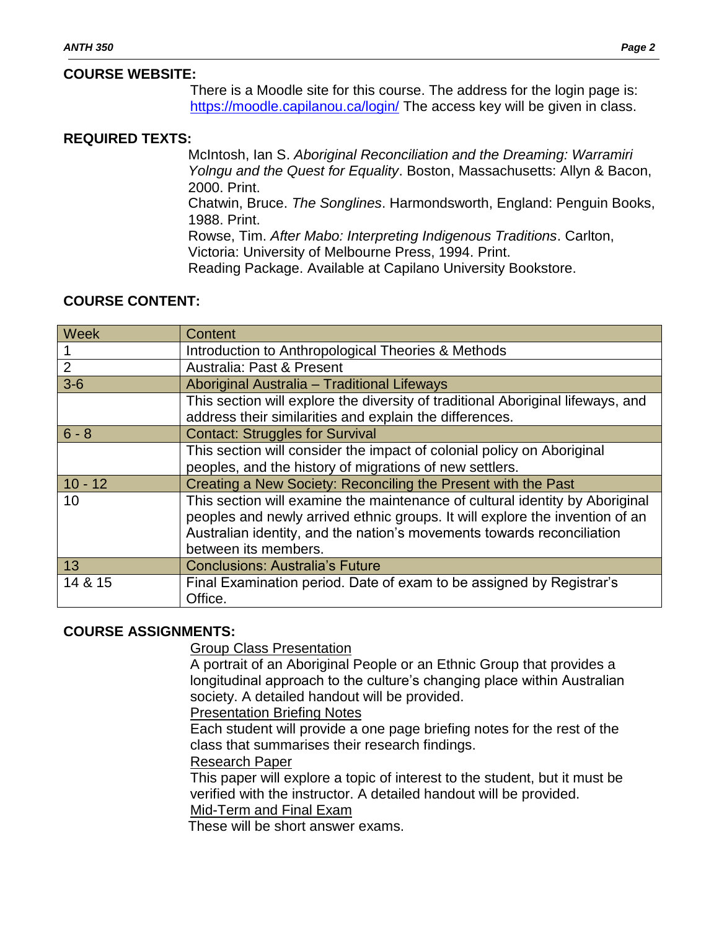# **COURSE WEBSITE:**

There is a Moodle site for this course. The address for the login page is: <https://moodle.capilanou.ca/login/> The access key will be given in class.

# **REQUIRED TEXTS:**

McIntosh, Ian S. *Aboriginal Reconciliation and the Dreaming: Warramiri Yolngu and the Quest for Equality*. Boston, Massachusetts: Allyn & Bacon, 2000. Print.

Chatwin, Bruce. *The Songlines*. Harmondsworth, England: Penguin Books, 1988. Print.

Rowse, Tim. *After Mabo: Interpreting Indigenous Traditions*. Carlton,

Victoria: University of Melbourne Press, 1994. Print.

Reading Package. Available at Capilano University Bookstore.

### **COURSE CONTENT:**

| Week           | Content                                                                                                                                                                                                                                                        |  |  |
|----------------|----------------------------------------------------------------------------------------------------------------------------------------------------------------------------------------------------------------------------------------------------------------|--|--|
|                | Introduction to Anthropological Theories & Methods                                                                                                                                                                                                             |  |  |
| $\overline{2}$ | Australia: Past & Present                                                                                                                                                                                                                                      |  |  |
| $3-6$          | Aboriginal Australia - Traditional Lifeways                                                                                                                                                                                                                    |  |  |
|                | This section will explore the diversity of traditional Aboriginal lifeways, and<br>address their similarities and explain the differences.                                                                                                                     |  |  |
| $6 - 8$        | <b>Contact: Struggles for Survival</b>                                                                                                                                                                                                                         |  |  |
|                | This section will consider the impact of colonial policy on Aboriginal<br>peoples, and the history of migrations of new settlers.                                                                                                                              |  |  |
| $10 - 12$      | Creating a New Society: Reconciling the Present with the Past                                                                                                                                                                                                  |  |  |
| 10             | This section will examine the maintenance of cultural identity by Aboriginal<br>peoples and newly arrived ethnic groups. It will explore the invention of an<br>Australian identity, and the nation's movements towards reconciliation<br>between its members. |  |  |
| 13             | <b>Conclusions: Australia's Future</b>                                                                                                                                                                                                                         |  |  |
| 14 & 15        | Final Examination period. Date of exam to be assigned by Registrar's<br>Office.                                                                                                                                                                                |  |  |

# **COURSE ASSIGNMENTS:**

Group Class Presentation

A portrait of an Aboriginal People or an Ethnic Group that provides a longitudinal approach to the culture's changing place within Australian society. A detailed handout will be provided.

#### Presentation Briefing Notes

Each student will provide a one page briefing notes for the rest of the class that summarises their research findings.

#### Research Paper

This paper will explore a topic of interest to the student, but it must be verified with the instructor. A detailed handout will be provided. Mid-Term and Final Exam

These will be short answer exams.